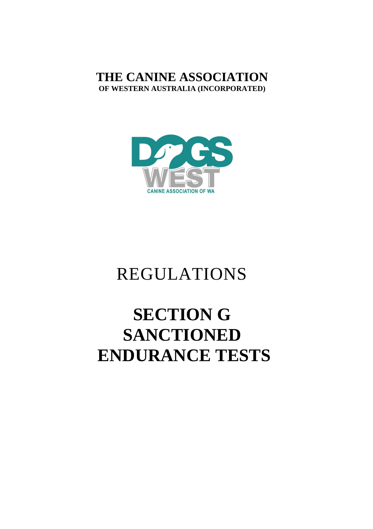## **THE CANINE ASSOCIATION OF WESTERN AUSTRALIA (INCORPORATED)**



## REGULATIONS

# **SECTION G SANCTIONED ENDURANCE TESTS**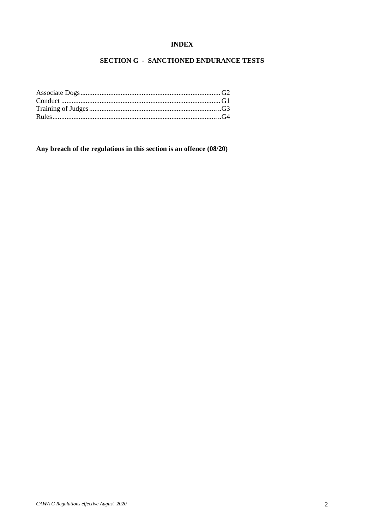#### **INDEX**

### **SECTION G - SANCTIONED ENDURANCE TESTS**

**Any breach of the regulations in this section is an offence (08/20)**